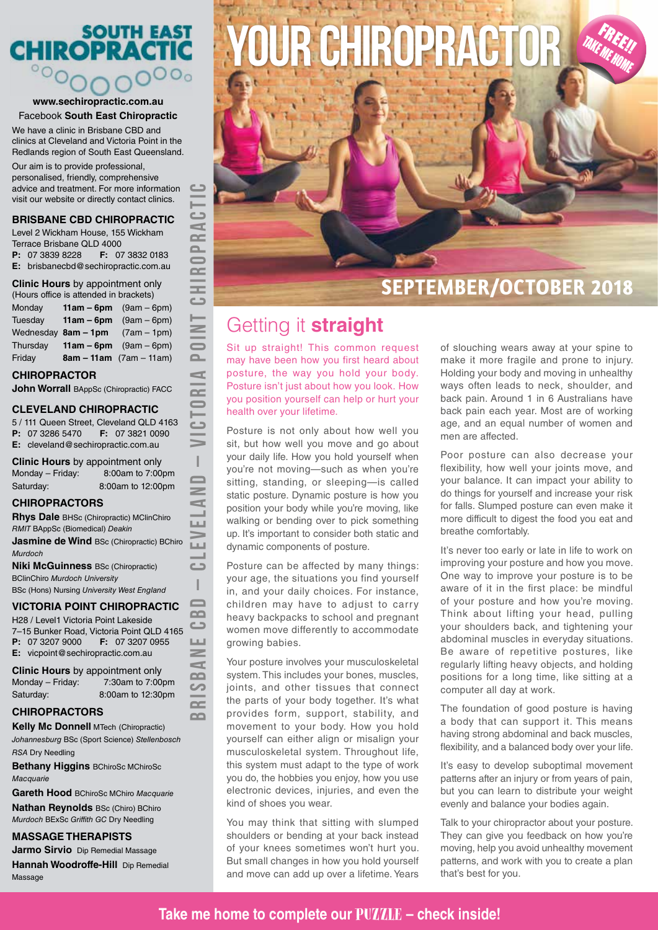## **SOUTH EAST CHIROPRACTIC**  $^{\circ}$  $\overline{O}O_{\overline{O}}$

#### **www.sechiropractic.com.au** Facebook **South East Chiropractic**

We have a clinic in Brisbane CBD and clinics at Cleveland and Victoria Point in the Redlands region of South East Queensland.

Our aim is to provide professional, personalised, friendly, comprehensive advice and treatment. For more information visit our website or directly contact clinics.

## **BRISBANE CBD CHIROPRACTIC**

Level 2 Wickham House, 155 Wickham Terrace Brisbane QLD 4000 **P:** 07 3839 8228 **F:** 07 3832 0183 **E:** brisbanecbd@sechiropractic.com.au **Clinic Hours** by appointment only (Hours office is attended in brackets) Monday **11am – 6pm** (9am – 6pm) Tuesday **11am – 6pm** (9am – 6pm) Wednesday **8am – 1pm** (7am – 1pm) Thursday **11am – 6pm** (9am – 6pm) Friday **8am – 11am** (7am – 11am) **CHIROPRACTOR John Worrall BAppSc (Chiropractic) FACC CLEVELAND CHIROPRACTIC** 5 / 111 Queen Street, Cleveland QLD 4163 **P:** 07 3286 5470 **F:** 07 3821 0090 **E:** cleveland@sechiropractic.com.au **Clinic Hours** by appointment only Monday – Friday: 8:00am to 7:00pm Saturday: 8:00am to 12:00pm **CHIROPRACTORS Rhys Dale** BHSc (Chiropractic) MClinChiro *RMIT* BAppSc (Biomedical) *Deakin* **Jasmine de Wind BSc (Chiropractic) BChiro** *Murdoch* **Niki McGuinness** BSc (Chiropractic) BClinChiro *Murdoch University* BSc (Hons) Nursing *University West England* **VICTORIA POINT CHIROPRACTIC** H28 / Level1 Victoria Point Lakeside 7–15 Bunker Road, Victoria Point QLD 4165 **P:** 07 3207 9000 **F:** 07 3207 0955 **E:** vicpoint@sechiropractic.com.au **Clinic Hours** by appointment only

Monday – Friday: 7:30am to 7:00pm Saturday: 8:00am to 12:30pm

## **CHIROPRACTORS**

**Kelly Mc Donnell** MTech (Chiropractic) *Johannesburg* BSc (Sport Science) *Stellenbosch RSA* Dry Needling

**Bethany Higgins** BChiroSc MChiroSc *Macquarie*

**Gareth Hood** BChiroSc MChiro *Macquarie* **Nathan Reynolds** BSc (Chiro) BChiro *Murdoch* BExSc *Griffith GC* Dry Needling

**MASSAGE THERAPISTS Jarmo Sirvio** Dip Remedial Massage **Hannah Woodroffe-Hill** Dip Remedial Massage



# **SEPTEMBER/OCTOBER 2018**

Sit up straight! This common request may have been how you first heard about posture, the way you hold your body. Posture isn't just about how you look. How you position yourself can help or hurt your health over your lifetime.

**BRIDGE CONTINUITY CONTINUITY**<br> **BRIDGE CONTINUITY**<br> **BRIDGE CONTINUITY**<br> **BRIDGE CONTINUITY**<br> **BRIDGE CONTINUITY**<br> **BRIDGE CONTINUITY**<br> **BRIDGE CONTINUITY**<br> **BRIDGE CONTINUITY**<br> **BRIDGE CONTINUITY**<br> **BRIDGE CONTINUITY**<br> Posture is not only about how well you sit, but how well you move and go about your daily life. How you hold yourself when you're not moving—such as when you're sitting, standing, or sleeping—is called static posture. Dynamic posture is how you position your body while you're moving, like walking or bending over to pick something up. It's important to consider both static and dynamic components of posture.

Posture can be affected by many things: your age, the situations you find yourself in, and your daily choices. For instance, children may have to adjust to carry heavy backpacks to school and pregnant women move differently to accommodate growing babies.

Your posture involves your musculoskeletal system. This includes your bones, muscles, joints, and other tissues that connect the parts of your body together. It's what provides form, support, stability, and movement to your body. How you hold yourself can either align or misalign your musculoskeletal system. Throughout life, this system must adapt to the type of work you do, the hobbies you enjoy, how you use electronic devices, injuries, and even the kind of shoes you wear.

You may think that sitting with slumped shoulders or bending at your back instead of your knees sometimes won't hurt you. But small changes in how you hold yourself and move can add up over a lifetime. Years

of slouching wears away at your spine to make it more fragile and prone to injury. Holding your body and moving in unhealthy ways often leads to neck, shoulder, and back pain. Around 1 in 6 Australians have back pain each year. Most are of working age, and an equal number of women and men are affected.

Poor posture can also decrease your flexibility, how well your joints move, and your balance. It can impact your ability to do things for yourself and increase your risk for falls. Slumped posture can even make it more difficult to digest the food you eat and breathe comfortably.

It's never too early or late in life to work on improving your posture and how you move. One way to improve your posture is to be aware of it in the first place: be mindful of your posture and how you're moving. Think about lifting your head, pulling your shoulders back, and tightening your abdominal muscles in everyday situations. Be aware of repetitive postures, like regularly lifting heavy objects, and holding positions for a long time, like sitting at a computer all day at work.

The foundation of good posture is having a body that can support it. This means having strong abdominal and back muscles, flexibility, and a balanced body over your life.

It's easy to develop suboptimal movement patterns after an injury or from years of pain, but you can learn to distribute your weight evenly and balance your bodies again.

Talk to your chiropractor about your posture. They can give you feedback on how you're moving, help you avoid unhealthy movement patterns, and work with you to create a plan that's best for you.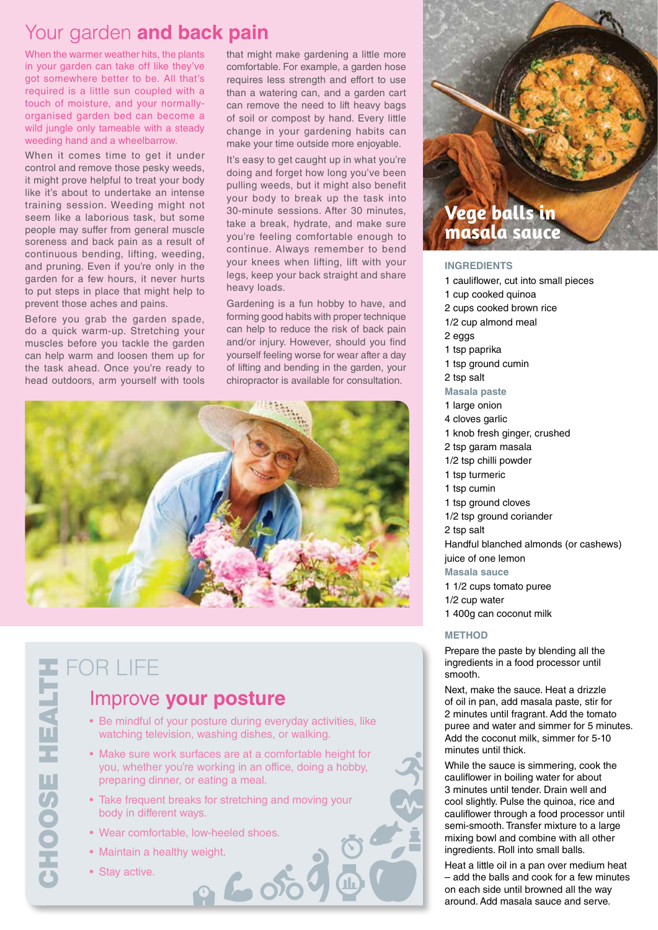# Your garden **and back pain**

When the warmer weather hits, the plants in your garden can take off like they've got somewhere better to be. All that's required is a little sun coupled with a touch of moisture, and your normallyorganised garden bed can become a wild jungle only tameable with a steady weeding hand and a wheelbarrow.

When it comes time to get it under control and remove those pesky weeds, it might prove helpful to treat your body like it's about to undertake an intense training session. Weeding might not seem like a laborious task, but some people may suffer from general muscle soreness and back pain as a result of continuous bending, lifting, weeding, and pruning. Even if you're only in the garden for a few hours, it never hurts to put steps in place that might help to prevent those aches and pains.

Before you grab the garden spade, do a quick warm-up. Stretching your muscles before you tackle the garden can help warm and loosen them up for the task ahead. Once you're ready to head outdoors, arm yourself with tools that might make gardening a little more comfortable. For example, a garden hose requires less strength and effort to use than a watering can, and a garden cart can remove the need to lift heavy bags of soil or compost by hand. Every little change in your gardening habits can make your time outside more enjoyable.

It's easy to get caught up in what you're doing and forget how long you've been pulling weeds, but it might also benefit your body to break up the task into 30-minute sessions. After 30 minutes, take a break, hydrate, and make sure you're feeling comfortable enough to continue. Always remember to bend your knees when lifting, lift with your legs, keep your back straight and share heavy loads.

Gardening is a fun hobby to have, and forming good habits with proper technique can help to reduce the risk of back pain and/or injury. However, should you find yourself feeling worse for wear after a day of lifting and bending in the garden, your chiropractor is available for consultation.



# FOR LIFE<br>
Improve<br>
Be mindful on<br>
Watching tele<br>
Watching tele<br>
Watching tele<br>
Preparing dir<br>
Preparing dir<br>
CHOOSE Preparing dir<br>
CHOOSE Preparing dir<br>
CHOOSE Preparing dir<br>
CHOOSE Preparing dir<br>
CHOOSE Preparing dir<br>
CHO

# Improve **your posture**

- Be mindful of your posture during everyday activities, like watching television, washing dishes, or walking.
- Make sure work surfaces are at a comfortable height for you, whether you're working in an office, doing a hobby, preparing dinner, or eating a meal.

0602

- Take frequent breaks for stretching and moving your body in different ways.
- Wear comfortable, low-heeled shoes.
- Maintain a healthy weight.
- Stay active.

# **Vege balls in masala sauce**

## **INGREDIENTS**

- 1 cauliflower, cut into small pieces
- 1 cup cooked quinoa
- 2 cups cooked brown rice
- 1/2 cup almond meal
- 2 eggs
- 1 tsp paprika
- 1 tsp ground cumin
- 2 tsp salt

## **Masala paste**

- 1 large onion
- 4 cloves garlic
- 1 knob fresh ginger, crushed
- 2 tsp garam masala
- 1/2 tsp chilli powder
- 1 tsp turmeric
- 1 tsp cumin
- 1 tsp ground cloves
- 1/2 tsp ground coriander
- 2 tsp salt

Handful blanched almonds (or cashews) juice of one lemon

- **Masala sauce**
- 1 1/2 cups tomato puree
- 1/2 cup water
- 1 400g can coconut milk

## **METHOD**

Prepare the paste by blending all the ingredients in a food processor until smooth.

Next, make the sauce. Heat a drizzle of oil in pan, add masala paste, stir for 2 minutes until fragrant. Add the tomato puree and water and simmer for 5 minutes. Add the coconut milk, simmer for 5-10 minutes until thick.

While the sauce is simmering, cook the cauliflower in boiling water for about 3 minutes until tender. Drain well and cool slightly. Pulse the quinoa, rice and cauliflower through a food processor until semi-smooth. Transfer mixture to a large mixing bowl and combine with all other ingredients. Roll into small balls.

Heat a little oil in a pan over medium heat – add the balls and cook for a few minutes on each side until browned all the way around. Add masala sauce and serve.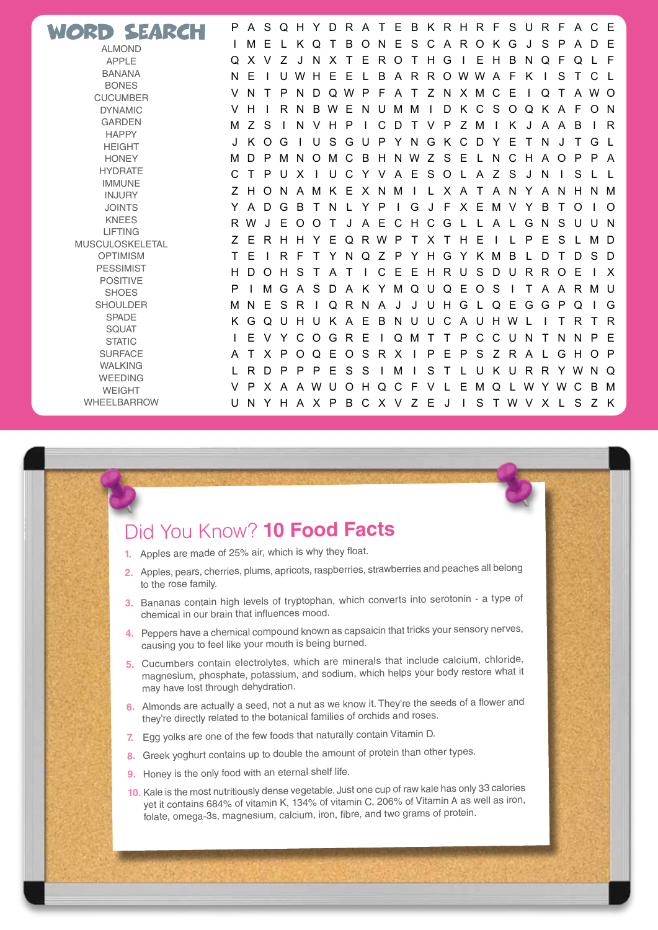| RD SEARCH                       | P  |              | A S      | $\Omega$     | $H_{\perp}$ | Y.       | D | R.            | A T          |          | E.             |              |              |          |              | BKRHRF       |          | SU.          |         | R F          |              | A  | C E     |                |
|---------------------------------|----|--------------|----------|--------------|-------------|----------|---|---------------|--------------|----------|----------------|--------------|--------------|----------|--------------|--------------|----------|--------------|---------|--------------|--------------|----|---------|----------------|
| <b>ALMOND</b>                   |    | м            | E        |              | K           | $\Omega$ |   | B             | $\Omega$     | N        | Е              | S            | C            |          | A R          | $\circ$      | K        | G            | J       | S            | P            | A  | D.      | Е              |
| <b>APPLE</b>                    | Q  | X.           | V        | 7            | J           | N        | X | Т             | Ε            | R.       | $\circ$        | $\top$       | H            | G        | $\mathbf{I}$ | Е            | H        | B            | N.      | $\Omega$     | E            | Q  |         | - F            |
| <b>BANANA</b>                   | N  | Е            |          |              | W           | H.       | Е | Е             |              | B        |                |              |              |          |              | ARROWW       | A        | E            | K       |              | S            |    |         |                |
| <b>BONES</b>                    |    |              |          |              |             |          |   |               |              |          |                |              |              |          |              |              |          |              |         |              |              |    |         |                |
| <b>CUCUMBER</b>                 | V  | N            |          | P            | N           | D.       | Q | W             | P            | F        | A              | $\top$       |              | Z N X M  |              |              | C        | Е            |         | $\Omega$     | T.           | A  | W O     |                |
| <b>DYNAMIC</b>                  | V  | H            |          | R            | N           | B.       | W | Е             | N            | U        | M              | M            |              | D        | K            | C            | - S      | $\circ$      |         |              | Q K A        | E  | O N     |                |
| <b>GARDEN</b>                   | м  | Z            | S        |              | N           | V        | н | P             |              | С        | D              |              | V            | P        | Z            | M            |          | K            | J       | A            | A            | B  |         | R              |
| <b>HAPPY</b>                    | J  | K            | O        | G            |             | U        | S | G             | U            | P        | Y              | - N          | G            | K        | C            | D            | Y        | Е            | Τ       | N            | J            |    | G L     |                |
| <b>HEIGHT</b>                   |    |              |          |              |             |          |   |               |              |          |                |              |              |          |              |              |          |              |         |              |              |    |         |                |
| <b>HONEY</b><br><b>HYDRATE</b>  | м  | D.           | P        | м            | N           | $\Omega$ | м | C             | B            | H        | N.             | W            | Z            | S.       | E            |              | N.       | C            | H       | A            | $\Omega$     | P  | P       | A              |
| <b>IMMUNE</b>                   | C  |              | P        | U            | X           |          | U | C             | $\mathsf{Y}$ | V        | $\overline{A}$ | E            | S.           | $\circ$  | $\mathbf{L}$ | $\mathsf{A}$ | Z        | S.           | $\cdot$ | N            |              | S  |         |                |
| <b>INJURY</b>                   | Z  | H.           | $\Omega$ | <sub>N</sub> | A           | м        | K | Е             | X            | <b>N</b> | м              |              |              | X.       | A            | T            | A N      |              | Y       | A            | N            | н  | N M     |                |
| <b>JOINTS</b>                   | Y. | A            | D        | G            | B           |          | N |               | Y            | P        |                | G            | $\mathbf{J}$ | F.       | X E          |              | M V      |              | - Y     | B            |              | Ω  |         | $\circ$        |
| <b>KNEES</b>                    |    | R W          | J        | Е            | $\Omega$    | $\Omega$ |   |               | A            | Е        | C              | H            | C.           | G        |              |              | A        |              | G       | N            | S            |    |         | $\overline{N}$ |
| <b>LIFTING</b>                  |    |              |          |              |             |          |   |               |              |          |                |              |              |          |              |              |          |              |         |              |              |    |         |                |
| <b>MUSCULOSKELETAL</b>          | Z  | Е            | R        | H            | H.          | Y        | Е | Q             | R.           | W P      |                | T            | X.           | т        | H            | Е            |          |              | P       | Е            | S            |    | M D     |                |
| <b>OPTIMISM</b>                 | Τ  | Е            |          | R            | F           |          | Y | N             | $\Omega$     | Z        | P              | Y.           | H            | G        | Y            | K            | M        | B            |         | D            |              | D. | S       | - D            |
| <b>PESSIMIST</b>                | H. | D            | O        | H            | S           |          | A |               |              | C        | E              | E            | H            | R.       | U            | S            | D        | U            | R       | R.           | $\circ$      | Е  |         | $\times$       |
| <b>POSITIVE</b>                 | P  |              | м        | G            | A           | S.       | D | A             | K Y          |          | M              |              | Q U          | $\Omega$ | E            | $\circ$      | S        | $\mathbf{I}$ | Т       | $\mathsf{A}$ | A            | R. | M U     |                |
| <b>SHOES</b><br><b>SHOULDER</b> |    | <sub>N</sub> | F        | S            | R           |          | O | R             | N.           |          | Л.             |              | U            | H.       | G            |              | $\Omega$ | Е            | G       | G            | P            | O  |         | G              |
| <b>SPADE</b>                    | M  |              |          |              |             |          |   |               |              | A        |                |              |              |          |              |              |          |              |         |              |              |    |         |                |
| <b>SQUAT</b>                    | K. | G            | $\Omega$ | U            | H           | U        | K | $\mathsf{A}$  | E            | B        | N.             | <sup>U</sup> | $\cup$       | C.       | $\mathsf{A}$ | $\cup$       | H        | W            |         |              |              | R  |         | -R             |
| <b>STATIC</b>                   |    | E            | V        | Y            | C           | $\Omega$ | G | R.            | E            |          | Q              | M            |              |          | P            | C            | C.       | $\mathsf{U}$ | N       |              | N.           | N  | P       | E              |
| <b>SURFACE</b>                  | A  |              | X P      |              | $\Omega$    | $\Omega$ | Е | $\circ$       | S.           | R        | X              |              | P            | E.       | P            | S            | Z        | R            | A       |              | G            | H  | $O$ $P$ |                |
| <b>WALKING</b>                  |    | R.           | D        | P            | P           | P        | Е | S             | S            |          | M              |              | S            |          |              | U            | K        | U            |         |              | R R Y        | W  | N Q     |                |
| <b>WEEDING</b>                  |    |              |          |              |             |          |   |               |              |          |                |              |              |          |              |              |          |              |         |              |              |    |         |                |
| <b>WEIGHT</b>                   | V  | P            | X.       | A            | A           | W        | U | $\mathcal{L}$ | H            | Q        | C              | F            |              |          | Е            | М            | Q        |              | W       | Y            | W            | C  | B       | M              |
| <b>WHEELBARROW</b>              | U  |              |          | N Y H A X P  |             |          |   | B             | C            | X V      |                | Z            | E            | J        |              | S            |          | T W V        |         | $\mathsf{X}$ | $\mathsf{L}$ | S  | Z K     |                |

# Did You Know? **10 Food Facts** - www.

- **1.** Apples are made of 25% air, which is why they float.
- **2.** Apples, pears, cherries, plums, apricots, raspberries, strawberries and peaches all belong to the rose family.
- **3.** Bananas contain high levels of tryptophan, which converts into serotonin a type of chemical in our brain that influences mood.
- **4.** Peppers have a chemical compound known as capsaicin that tricks your sensory nerves, causing you to feel like your mouth is being burned.
- **5.** Cucumbers contain electrolytes, which are minerals that include calcium, chloride, magnesium, phosphate, potassium, and sodium, which helps your body restore what it may have lost through dehydration.
- **6.** Almonds are actually a seed, not a nut as we know it. They're the seeds of a flower and they're directly related to the botanical families of orchids and roses.
- **7.** Egg yolks are one of the few foods that naturally contain Vitamin D.
- **8.** Greek yoghurt contains up to double the amount of protein than other types.
- **9.** Honey is the only food with an eternal shelf life.
- **10.** Kale is the most nutritiously dense vegetable. Just one cup of raw kale has only 33 calories yet it contains 684% of vitamin K, 134% of vitamin C, 206% of Vitamin A as well as iron, folate, omega-3s, magnesium, calcium, iron, fibre, and two grams of protein.